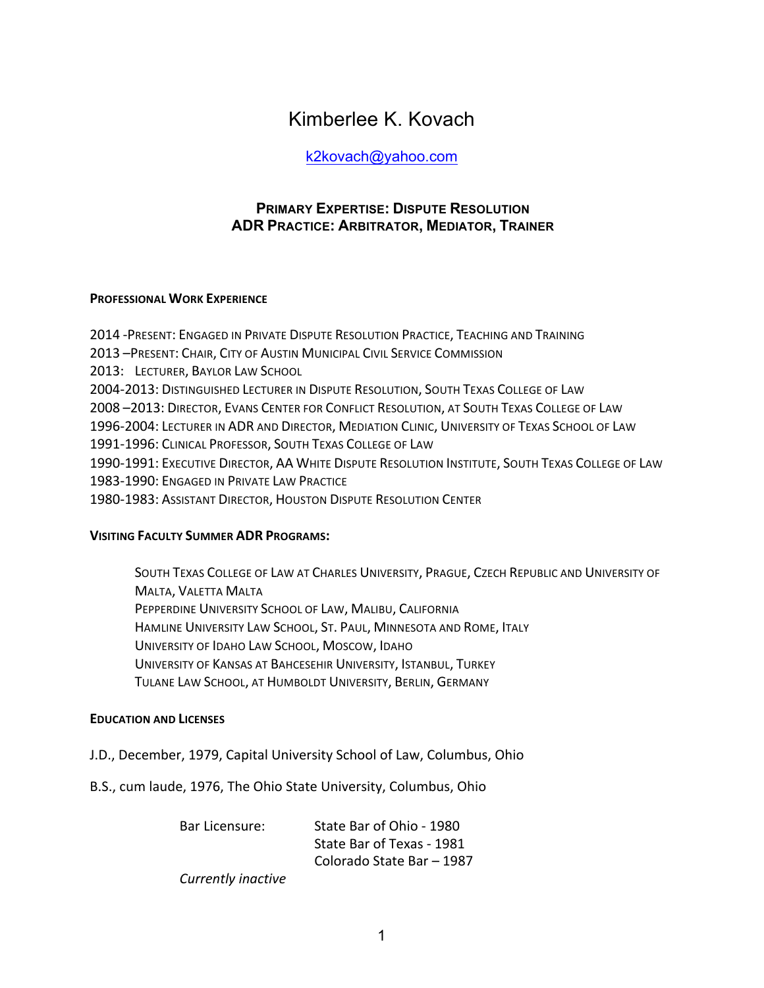# Kimberlee K. Kovach

# k2kovach@yahoo.com

# **PRIMARY EXPERTISE: DISPUTE RESOLUTION ADR PRACTICE: ARBITRATOR, MEDIATOR, TRAINER**

# **PROFESSIONAL WORK EXPERIENCE**

2014 -PRESENT: ENGAGED IN PRIVATE DISPUTE RESOLUTION PRACTICE, TEACHING AND TRAINING 2013 -PRESENT: CHAIR, CITY OF AUSTIN MUNICIPAL CIVIL SERVICE COMMISSION 2013: LECTURER, BAYLOR LAW SCHOOL 2004-2013: DISTINGUISHED LECTURER IN DISPUTE RESOLUTION, SOUTH TEXAS COLLEGE OF LAW 2008 -2013: DIRECTOR, EVANS CENTER FOR CONFLICT RESOLUTION, AT SOUTH TEXAS COLLEGE OF LAW 1996-2004: LECTURER IN ADR AND DIRECTOR, MEDIATION CLINIC, UNIVERSITY OF TEXAS SCHOOL OF LAW 1991-1996: CLINICAL PROFESSOR, SOUTH TEXAS COLLEGE OF LAW 1990-1991: EXECUTIVE DIRECTOR, AA WHITE DISPUTE RESOLUTION INSTITUTE, SOUTH TEXAS COLLEGE OF LAW 1983-1990: ENGAGED IN PRIVATE LAW PRACTICE 1980-1983: ASSISTANT DIRECTOR, HOUSTON DISPUTE RESOLUTION CENTER

# **VISITING FACULTY SUMMER ADR PROGRAMS:**

SOUTH TEXAS COLLEGE OF LAW AT CHARLES UNIVERSITY, PRAGUE, CZECH REPUBLIC AND UNIVERSITY OF **MALTA, VALETTA MALTA** PEPPERDINE UNIVERSITY SCHOOL OF LAW, MALIBU, CALIFORNIA HAMLINE UNIVERSITY LAW SCHOOL, ST. PAUL, MINNESOTA AND ROME, ITALY UNIVERSITY OF IDAHO LAW SCHOOL, MOSCOW, IDAHO UNIVERSITY OF KANSAS AT BAHCESEHIR UNIVERSITY, ISTANBUL, TURKEY TULANE LAW SCHOOL, AT HUMBOLDT UNIVERSITY, BERLIN, GERMANY

# **EDUCATION AND LICENSES**

- J.D., December, 1979, Capital University School of Law, Columbus, Ohio
- B.S., cum laude, 1976, The Ohio State University, Columbus, Ohio

Bar Licensure: State Bar of Ohio - 1980 State Bar of Texas - 1981 Colorado State Bar – 1987

*Currently inactive*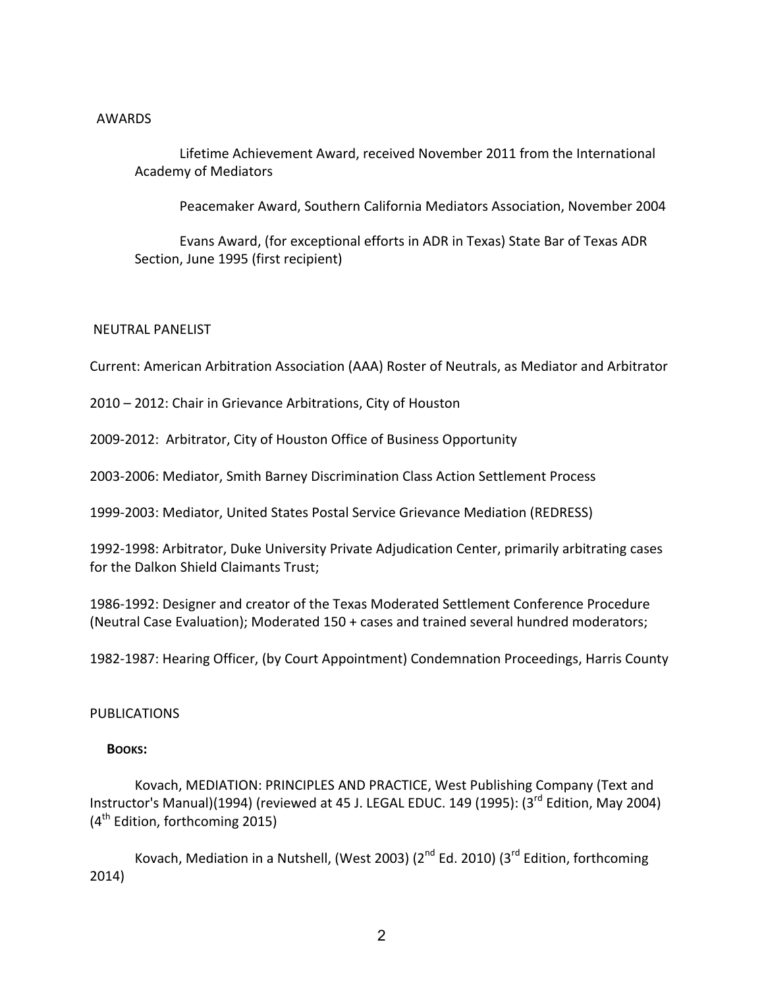#### AWARDS

Lifetime Achievement Award, received November 2011 from the International Academy of Mediators

Peacemaker Award, Southern California Mediators Association, November 2004

Evans Award, (for exceptional efforts in ADR in Texas) State Bar of Texas ADR Section, June 1995 (first recipient)

# NEUTRAL PANELIST

Current: American Arbitration Association (AAA) Roster of Neutrals, as Mediator and Arbitrator

2010 – 2012: Chair in Grievance Arbitrations, City of Houston

2009-2012: Arbitrator, City of Houston Office of Business Opportunity

2003-2006: Mediator, Smith Barney Discrimination Class Action Settlement Process

1999-2003: Mediator, United States Postal Service Grievance Mediation (REDRESS)

1992-1998: Arbitrator, Duke University Private Adjudication Center, primarily arbitrating cases for the Dalkon Shield Claimants Trust;

1986-1992: Designer and creator of the Texas Moderated Settlement Conference Procedure (Neutral Case Evaluation); Moderated 150 + cases and trained several hundred moderators;

1982-1987: Hearing Officer, (by Court Appointment) Condemnation Proceedings, Harris County

# PUBLICATIONS

# **BOOKS:**

Kovach, MEDIATION: PRINCIPLES AND PRACTICE, West Publishing Company (Text and Instructor's Manual)(1994) (reviewed at 45 J. LEGAL EDUC. 149 (1995): (3<sup>rd</sup> Edition, May 2004)  $(4<sup>th</sup>$  Edition, forthcoming 2015)

Kovach, Mediation in a Nutshell, (West 2003) ( $2^{nd}$  Ed. 2010) (3<sup>rd</sup> Edition, forthcoming 2014)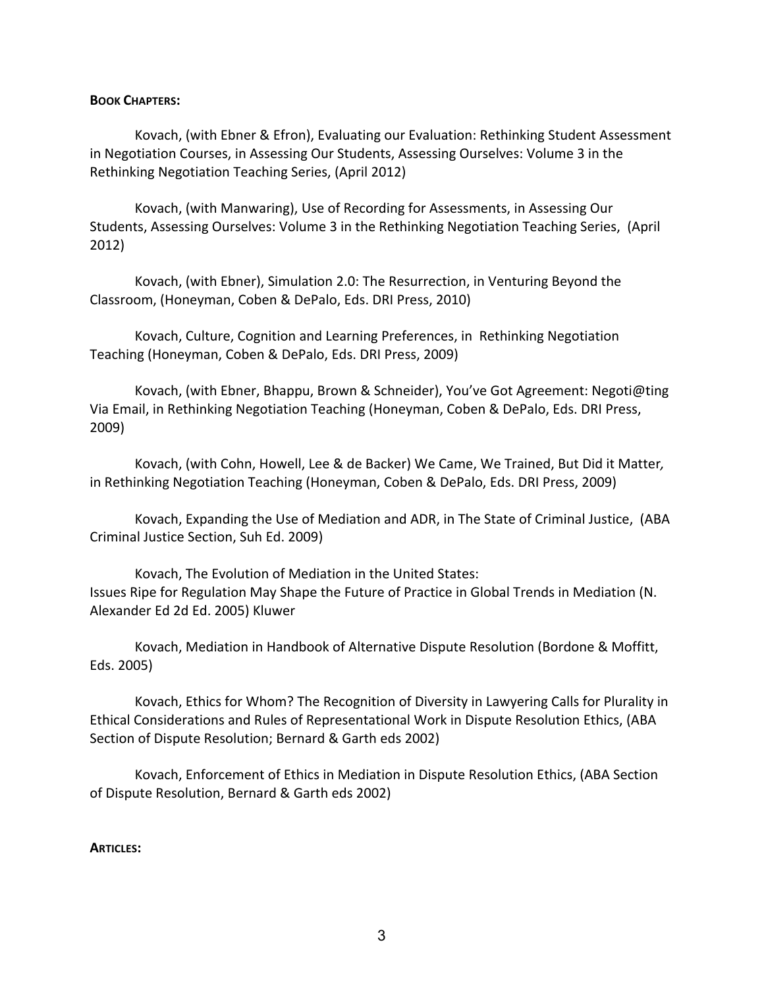#### **BOOK CHAPTERS:**

Kovach, (with Ebner & Efron), Evaluating our Evaluation: Rethinking Student Assessment in Negotiation Courses, in Assessing Our Students, Assessing Ourselves: Volume 3 in the Rethinking Negotiation Teaching Series, (April 2012)

Kovach, (with Manwaring), Use of Recording for Assessments, in Assessing Our Students, Assessing Ourselves: Volume 3 in the Rethinking Negotiation Teaching Series, (April 2012)

Kovach, (with Ebner), Simulation 2.0: The Resurrection, in Venturing Beyond the Classroom, (Honeyman, Coben & DePalo, Eds. DRI Press, 2010)

Kovach, Culture, Cognition and Learning Preferences, in Rethinking Negotiation Teaching (Honeyman, Coben & DePalo, Eds. DRI Press, 2009)

Kovach, (with Ebner, Bhappu, Brown & Schneider), You've Got Agreement: Negoti@ting Via Email, in Rethinking Negotiation Teaching (Honeyman, Coben & DePalo, Eds. DRI Press, 2009) 

Kovach, (with Cohn, Howell, Lee & de Backer) We Came, We Trained, But Did it Matter, in Rethinking Negotiation Teaching (Honeyman, Coben & DePalo, Eds. DRI Press, 2009)

Kovach, Expanding the Use of Mediation and ADR, in The State of Criminal Justice, (ABA Criminal Justice Section, Suh Ed. 2009)

Kovach, The Evolution of Mediation in the United States: Issues Ripe for Regulation May Shape the Future of Practice in Global Trends in Mediation (N. Alexander Ed 2d Ed. 2005) Kluwer

Kovach, Mediation in Handbook of Alternative Dispute Resolution (Bordone & Moffitt, Eds. 2005) 

Kovach, Ethics for Whom? The Recognition of Diversity in Lawyering Calls for Plurality in Ethical Considerations and Rules of Representational Work in Dispute Resolution Ethics, (ABA Section of Dispute Resolution; Bernard & Garth eds 2002)

Kovach, Enforcement of Ethics in Mediation in Dispute Resolution Ethics, (ABA Section of Dispute Resolution, Bernard & Garth eds 2002)

#### **ARTICLES:**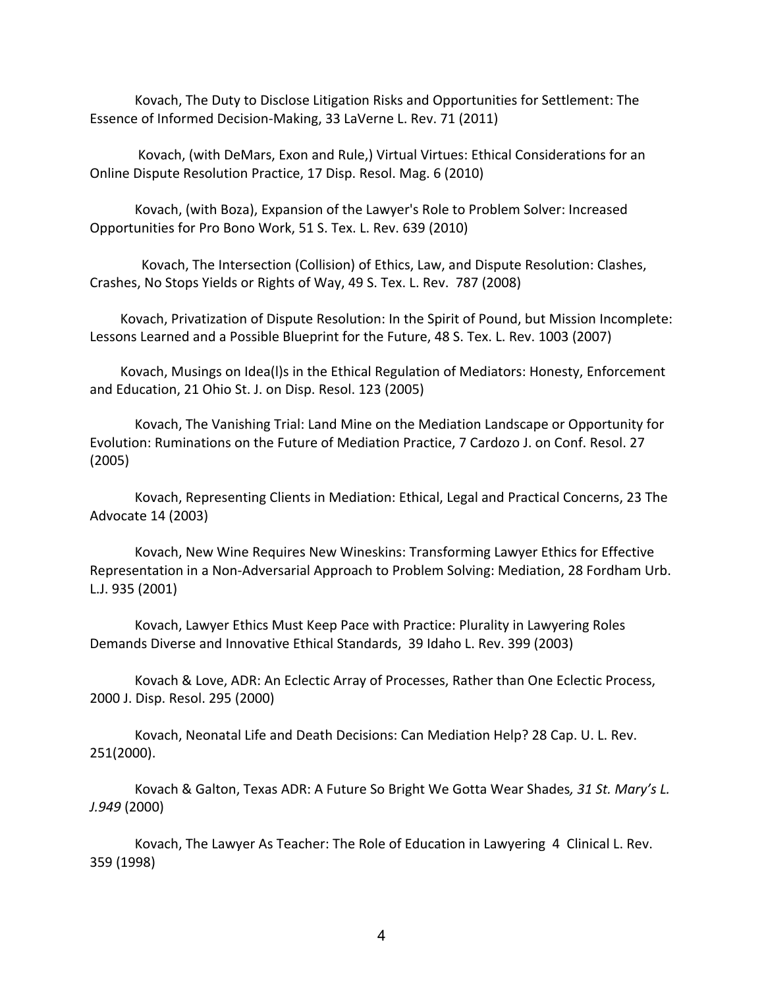Kovach, The Duty to Disclose Litigation Risks and Opportunities for Settlement: The Essence of Informed Decision-Making, 33 LaVerne L. Rev. 71 (2011)

Kovach, (with DeMars, Exon and Rule,) Virtual Virtues: Ethical Considerations for an Online Dispute Resolution Practice, 17 Disp. Resol. Mag. 6 (2010)

Kovach, (with Boza), Expansion of the Lawyer's Role to Problem Solver: Increased Opportunities for Pro Bono Work, 51 S. Tex. L. Rev. 639 (2010)

Kovach, The Intersection (Collision) of Ethics, Law, and Dispute Resolution: Clashes, Crashes, No Stops Yields or Rights of Way, 49 S. Tex. L. Rev. 787 (2008)

Kovach, Privatization of Dispute Resolution: In the Spirit of Pound, but Mission Incomplete: Lessons Learned and a Possible Blueprint for the Future, 48 S. Tex. L. Rev. 1003 (2007)

Kovach, Musings on Idea(I)s in the Ethical Regulation of Mediators: Honesty, Enforcement and Education, 21 Ohio St. J. on Disp. Resol. 123 (2005)

Kovach, The Vanishing Trial: Land Mine on the Mediation Landscape or Opportunity for Evolution: Ruminations on the Future of Mediation Practice, 7 Cardozo J. on Conf. Resol. 27 (2005)

Kovach, Representing Clients in Mediation: Ethical, Legal and Practical Concerns, 23 The Advocate 14 (2003)

Kovach, New Wine Requires New Wineskins: Transforming Lawyer Ethics for Effective Representation in a Non-Adversarial Approach to Problem Solving: Mediation, 28 Fordham Urb. L.J. 935 (2001) 

Kovach, Lawyer Ethics Must Keep Pace with Practice: Plurality in Lawyering Roles Demands Diverse and Innovative Ethical Standards, 39 Idaho L. Rev. 399 (2003)

Kovach & Love, ADR: An Eclectic Array of Processes, Rather than One Eclectic Process, 2000 J. Disp. Resol. 295 (2000) 

Kovach, Neonatal Life and Death Decisions: Can Mediation Help? 28 Cap. U. L. Rev. 251(2000).

Kovach & Galton, Texas ADR: A Future So Bright We Gotta Wear Shades, 31 St. Mary's L. *J.949* (2000)

Kovach, The Lawyer As Teacher: The Role of Education in Lawyering 4 Clinical L. Rev. 359 (1998)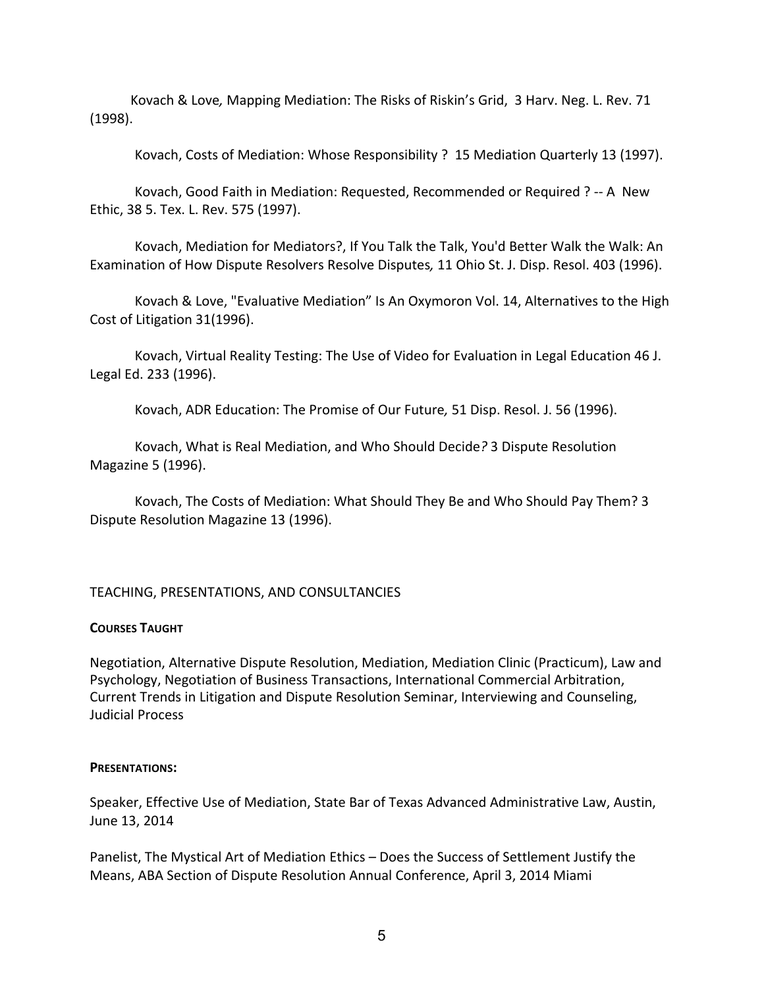Kovach & Love, Mapping Mediation: The Risks of Riskin's Grid, 3 Harv. Neg. L. Rev. 71 (1998).

Kovach, Costs of Mediation: Whose Responsibility ? 15 Mediation Quarterly 13 (1997).

Kovach, Good Faith in Mediation: Requested, Recommended or Required ? -- A New Ethic, 38 5. Tex. L. Rev. 575 (1997).

Kovach, Mediation for Mediators?, If You Talk the Talk, You'd Better Walk the Walk: An Examination of How Dispute Resolvers Resolve Disputes, 11 Ohio St. J. Disp. Resol. 403 (1996).

Kovach & Love, "Evaluative Mediation" Is An Oxymoron Vol. 14, Alternatives to the High Cost of Litigation 31(1996).

Kovach, Virtual Reality Testing: The Use of Video for Evaluation in Legal Education 46 J. Legal Ed. 233 (1996).

Kovach, ADR Education: The Promise of Our Future, 51 Disp. Resol. J. 56 (1996).

Kovach, What is Real Mediation, and Who Should Decide? 3 Dispute Resolution Magazine 5 (1996).

Kovach, The Costs of Mediation: What Should They Be and Who Should Pay Them? 3 Dispute Resolution Magazine 13 (1996).

# TEACHING, PRESENTATIONS, AND CONSULTANCIES

#### **COURSES TAUGHT**

Negotiation, Alternative Dispute Resolution, Mediation, Mediation Clinic (Practicum), Law and Psychology, Negotiation of Business Transactions, International Commercial Arbitration, Current Trends in Litigation and Dispute Resolution Seminar, Interviewing and Counseling, Judicial Process

#### **PRESENTATIONS:**

Speaker, Effective Use of Mediation, State Bar of Texas Advanced Administrative Law, Austin, June 13, 2014

Panelist, The Mystical Art of Mediation Ethics - Does the Success of Settlement Justify the Means, ABA Section of Dispute Resolution Annual Conference, April 3, 2014 Miami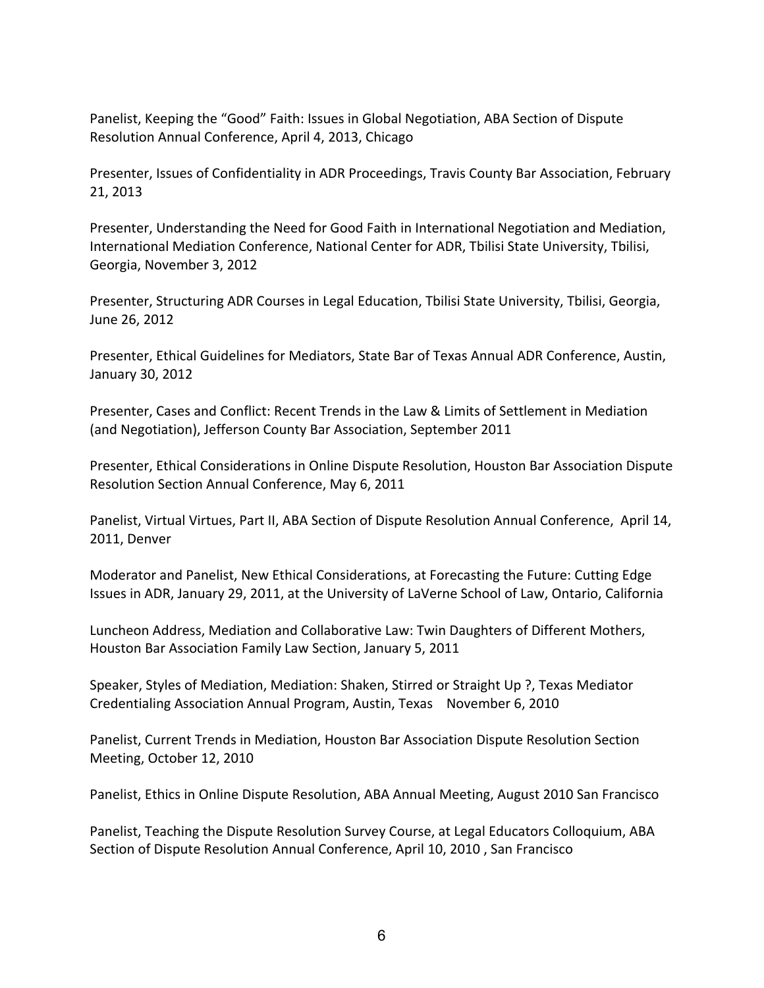Panelist, Keeping the "Good" Faith: Issues in Global Negotiation, ABA Section of Dispute Resolution Annual Conference, April 4, 2013, Chicago

Presenter, Issues of Confidentiality in ADR Proceedings, Travis County Bar Association, February 21, 2013

Presenter, Understanding the Need for Good Faith in International Negotiation and Mediation, International Mediation Conference, National Center for ADR, Tbilisi State University, Tbilisi, Georgia, November 3, 2012

Presenter, Structuring ADR Courses in Legal Education, Tbilisi State University, Tbilisi, Georgia, June 26, 2012

Presenter, Ethical Guidelines for Mediators, State Bar of Texas Annual ADR Conference, Austin, January 30, 2012

Presenter, Cases and Conflict: Recent Trends in the Law & Limits of Settlement in Mediation (and Negotiation), Jefferson County Bar Association, September 2011

Presenter, Ethical Considerations in Online Dispute Resolution, Houston Bar Association Dispute Resolution Section Annual Conference, May 6, 2011

Panelist, Virtual Virtues, Part II, ABA Section of Dispute Resolution Annual Conference, April 14, 2011, Denver

Moderator and Panelist, New Ethical Considerations, at Forecasting the Future: Cutting Edge Issues in ADR, January 29, 2011, at the University of LaVerne School of Law, Ontario, California

Luncheon Address, Mediation and Collaborative Law: Twin Daughters of Different Mothers, Houston Bar Association Family Law Section, January 5, 2011

Speaker, Styles of Mediation, Mediation: Shaken, Stirred or Straight Up ?, Texas Mediator Credentialing Association Annual Program, Austin, Texas November 6, 2010

Panelist, Current Trends in Mediation, Houston Bar Association Dispute Resolution Section Meeting, October 12, 2010

Panelist, Ethics in Online Dispute Resolution, ABA Annual Meeting, August 2010 San Francisco

Panelist, Teaching the Dispute Resolution Survey Course, at Legal Educators Colloquium, ABA Section of Dispute Resolution Annual Conference, April 10, 2010, San Francisco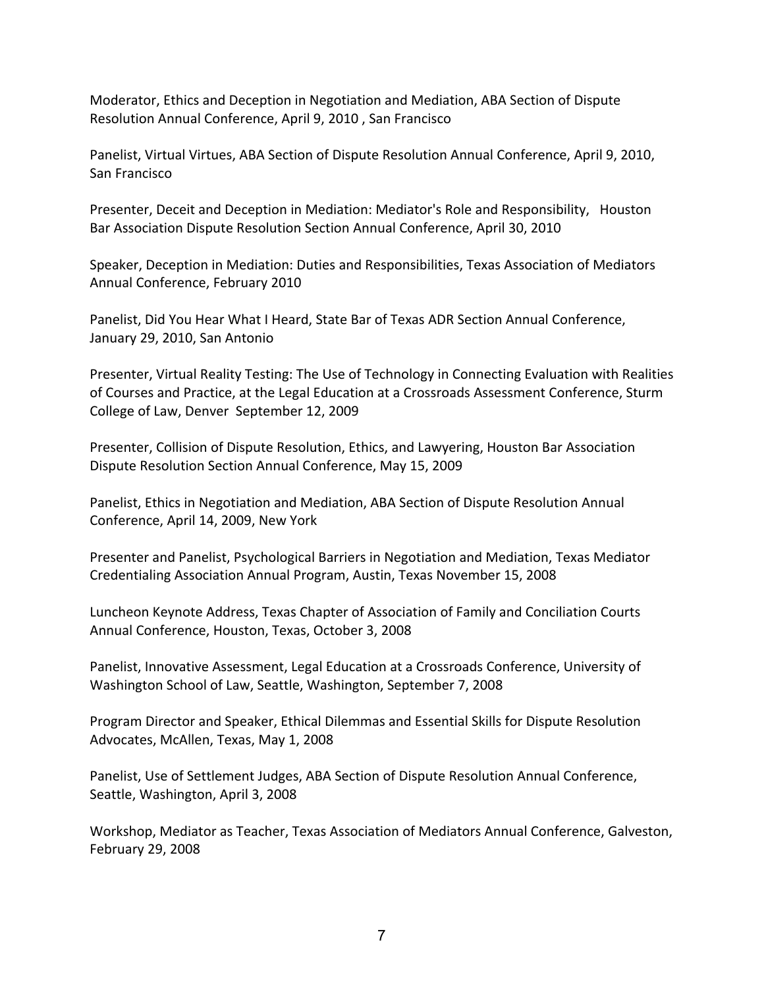Moderator, Ethics and Deception in Negotiation and Mediation, ABA Section of Dispute Resolution Annual Conference, April 9, 2010, San Francisco

Panelist, Virtual Virtues, ABA Section of Dispute Resolution Annual Conference, April 9, 2010, San Francisco

Presenter, Deceit and Deception in Mediation: Mediator's Role and Responsibility, Houston Bar Association Dispute Resolution Section Annual Conference, April 30, 2010

Speaker, Deception in Mediation: Duties and Responsibilities, Texas Association of Mediators Annual Conference, February 2010

Panelist, Did You Hear What I Heard, State Bar of Texas ADR Section Annual Conference, January 29, 2010, San Antonio

Presenter, Virtual Reality Testing: The Use of Technology in Connecting Evaluation with Realities of Courses and Practice, at the Legal Education at a Crossroads Assessment Conference, Sturm College of Law, Denver September 12, 2009

Presenter, Collision of Dispute Resolution, Ethics, and Lawyering, Houston Bar Association Dispute Resolution Section Annual Conference, May 15, 2009

Panelist, Ethics in Negotiation and Mediation, ABA Section of Dispute Resolution Annual Conference, April 14, 2009, New York

Presenter and Panelist, Psychological Barriers in Negotiation and Mediation, Texas Mediator Credentialing Association Annual Program, Austin, Texas November 15, 2008

Luncheon Keynote Address, Texas Chapter of Association of Family and Conciliation Courts Annual Conference, Houston, Texas, October 3, 2008

Panelist, Innovative Assessment, Legal Education at a Crossroads Conference, University of Washington School of Law, Seattle, Washington, September 7, 2008

Program Director and Speaker, Ethical Dilemmas and Essential Skills for Dispute Resolution Advocates, McAllen, Texas, May 1, 2008

Panelist, Use of Settlement Judges, ABA Section of Dispute Resolution Annual Conference, Seattle, Washington, April 3, 2008

Workshop, Mediator as Teacher, Texas Association of Mediators Annual Conference, Galveston, February 29, 2008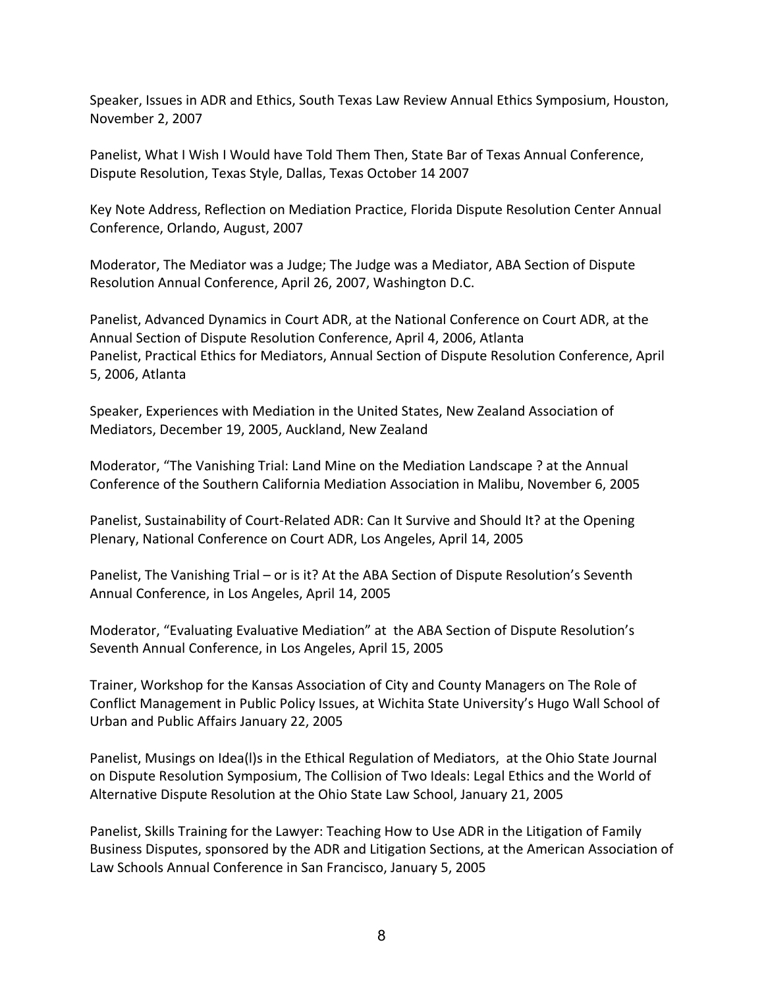Speaker, Issues in ADR and Ethics, South Texas Law Review Annual Ethics Symposium, Houston, November 2, 2007 

Panelist, What I Wish I Would have Told Them Then, State Bar of Texas Annual Conference, Dispute Resolution, Texas Style, Dallas, Texas October 14 2007

Key Note Address, Reflection on Mediation Practice, Florida Dispute Resolution Center Annual Conference, Orlando, August, 2007

Moderator, The Mediator was a Judge; The Judge was a Mediator, ABA Section of Dispute Resolution Annual Conference, April 26, 2007, Washington D.C.

Panelist, Advanced Dynamics in Court ADR, at the National Conference on Court ADR, at the Annual Section of Dispute Resolution Conference, April 4, 2006, Atlanta Panelist, Practical Ethics for Mediators, Annual Section of Dispute Resolution Conference, April 5, 2006, Atlanta

Speaker, Experiences with Mediation in the United States, New Zealand Association of Mediators, December 19, 2005, Auckland, New Zealand

Moderator, "The Vanishing Trial: Land Mine on the Mediation Landscape ? at the Annual Conference of the Southern California Mediation Association in Malibu, November 6, 2005

Panelist, Sustainability of Court-Related ADR: Can It Survive and Should It? at the Opening Plenary, National Conference on Court ADR, Los Angeles, April 14, 2005

Panelist, The Vanishing Trial – or is it? At the ABA Section of Dispute Resolution's Seventh Annual Conference, in Los Angeles, April 14, 2005

Moderator, "Evaluating Evaluative Mediation" at the ABA Section of Dispute Resolution's Seventh Annual Conference, in Los Angeles, April 15, 2005

Trainer, Workshop for the Kansas Association of City and County Managers on The Role of Conflict Management in Public Policy Issues, at Wichita State University's Hugo Wall School of Urban and Public Affairs January 22, 2005

Panelist, Musings on Idea(I)s in the Ethical Regulation of Mediators, at the Ohio State Journal on Dispute Resolution Symposium, The Collision of Two Ideals: Legal Ethics and the World of Alternative Dispute Resolution at the Ohio State Law School, January 21, 2005

Panelist, Skills Training for the Lawyer: Teaching How to Use ADR in the Litigation of Family Business Disputes, sponsored by the ADR and Litigation Sections, at the American Association of Law Schools Annual Conference in San Francisco, January 5, 2005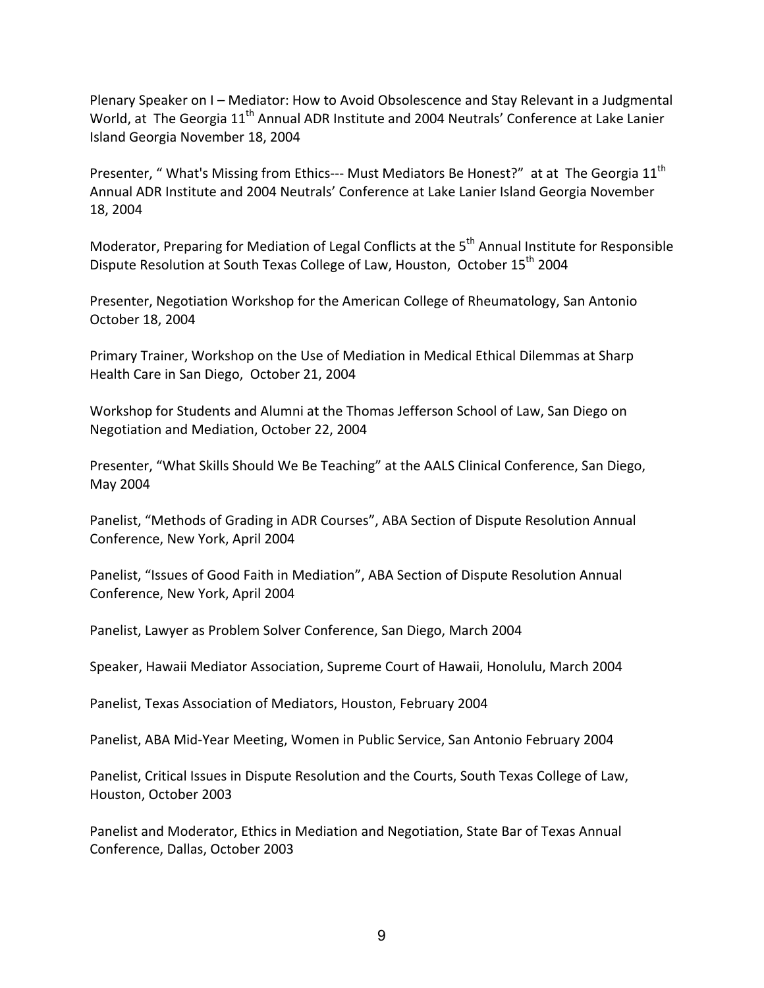Plenary Speaker on I - Mediator: How to Avoid Obsolescence and Stay Relevant in a Judgmental World, at The Georgia 11<sup>th</sup> Annual ADR Institute and 2004 Neutrals' Conference at Lake Lanier Island Georgia November 18, 2004

Presenter, " What's Missing from Ethics--- Must Mediators Be Honest?" at at The Georgia 11<sup>th</sup> Annual ADR Institute and 2004 Neutrals' Conference at Lake Lanier Island Georgia November 18, 2004

Moderator, Preparing for Mediation of Legal Conflicts at the  $5<sup>th</sup>$  Annual Institute for Responsible Dispute Resolution at South Texas College of Law, Houston, October 15<sup>th</sup> 2004

Presenter, Negotiation Workshop for the American College of Rheumatology, San Antonio October 18, 2004 

Primary Trainer, Workshop on the Use of Mediation in Medical Ethical Dilemmas at Sharp Health Care in San Diego, October 21, 2004

Workshop for Students and Alumni at the Thomas Jefferson School of Law, San Diego on Negotiation and Mediation, October 22, 2004

Presenter, "What Skills Should We Be Teaching" at the AALS Clinical Conference, San Diego, May 2004

Panelist, "Methods of Grading in ADR Courses", ABA Section of Dispute Resolution Annual Conference, New York, April 2004

Panelist, "Issues of Good Faith in Mediation", ABA Section of Dispute Resolution Annual Conference, New York, April 2004

Panelist, Lawyer as Problem Solver Conference, San Diego, March 2004

Speaker, Hawaii Mediator Association, Supreme Court of Hawaii, Honolulu, March 2004

Panelist, Texas Association of Mediators, Houston, February 2004

Panelist, ABA Mid-Year Meeting, Women in Public Service, San Antonio February 2004

Panelist, Critical Issues in Dispute Resolution and the Courts, South Texas College of Law, Houston, October 2003

Panelist and Moderator, Ethics in Mediation and Negotiation, State Bar of Texas Annual Conference, Dallas, October 2003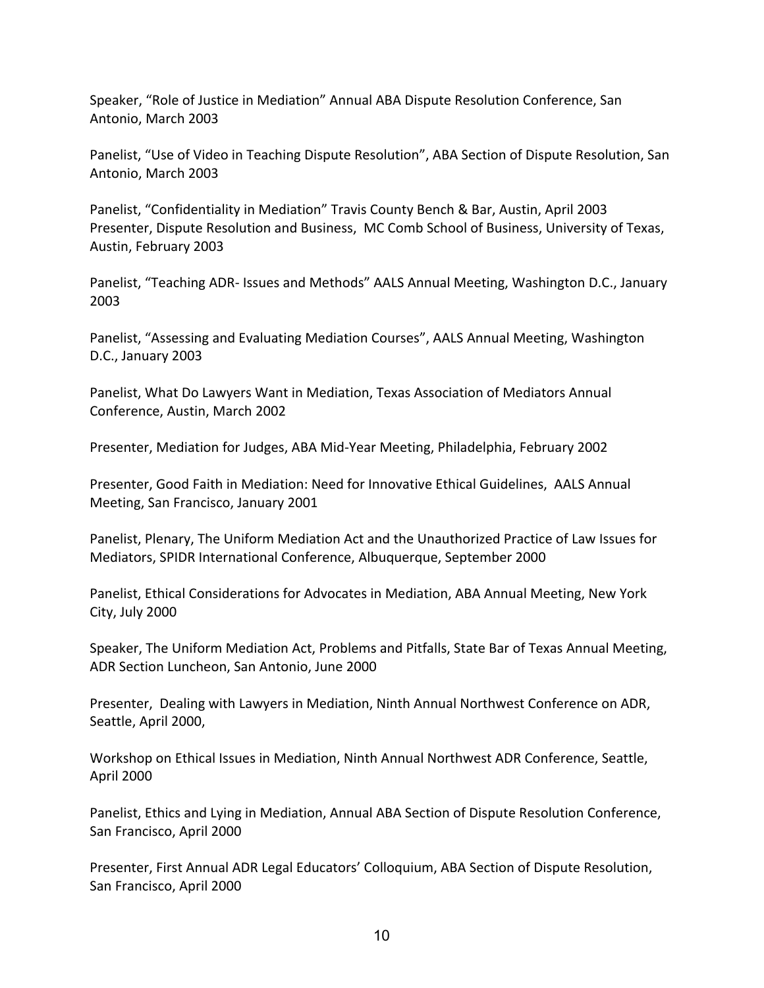Speaker, "Role of Justice in Mediation" Annual ABA Dispute Resolution Conference, San Antonio, March 2003

Panelist, "Use of Video in Teaching Dispute Resolution", ABA Section of Dispute Resolution, San Antonio, March 2003

Panelist, "Confidentiality in Mediation" Travis County Bench & Bar, Austin, April 2003 Presenter, Dispute Resolution and Business, MC Comb School of Business, University of Texas, Austin, February 2003

Panelist, "Teaching ADR- Issues and Methods" AALS Annual Meeting, Washington D.C., January 2003

Panelist, "Assessing and Evaluating Mediation Courses", AALS Annual Meeting, Washington D.C., January 2003

Panelist, What Do Lawyers Want in Mediation, Texas Association of Mediators Annual Conference, Austin, March 2002

Presenter, Mediation for Judges, ABA Mid-Year Meeting, Philadelphia, February 2002

Presenter, Good Faith in Mediation: Need for Innovative Ethical Guidelines, AALS Annual Meeting, San Francisco, January 2001

Panelist, Plenary, The Uniform Mediation Act and the Unauthorized Practice of Law Issues for Mediators, SPIDR International Conference, Albuquerque, September 2000

Panelist, Ethical Considerations for Advocates in Mediation, ABA Annual Meeting, New York City, July 2000

Speaker, The Uniform Mediation Act, Problems and Pitfalls, State Bar of Texas Annual Meeting, ADR Section Luncheon, San Antonio, June 2000

Presenter, Dealing with Lawyers in Mediation, Ninth Annual Northwest Conference on ADR, Seattle, April 2000,

Workshop on Ethical Issues in Mediation, Ninth Annual Northwest ADR Conference, Seattle, April 2000

Panelist, Ethics and Lying in Mediation, Annual ABA Section of Dispute Resolution Conference, San Francisco, April 2000

Presenter, First Annual ADR Legal Educators' Colloquium, ABA Section of Dispute Resolution, San Francisco, April 2000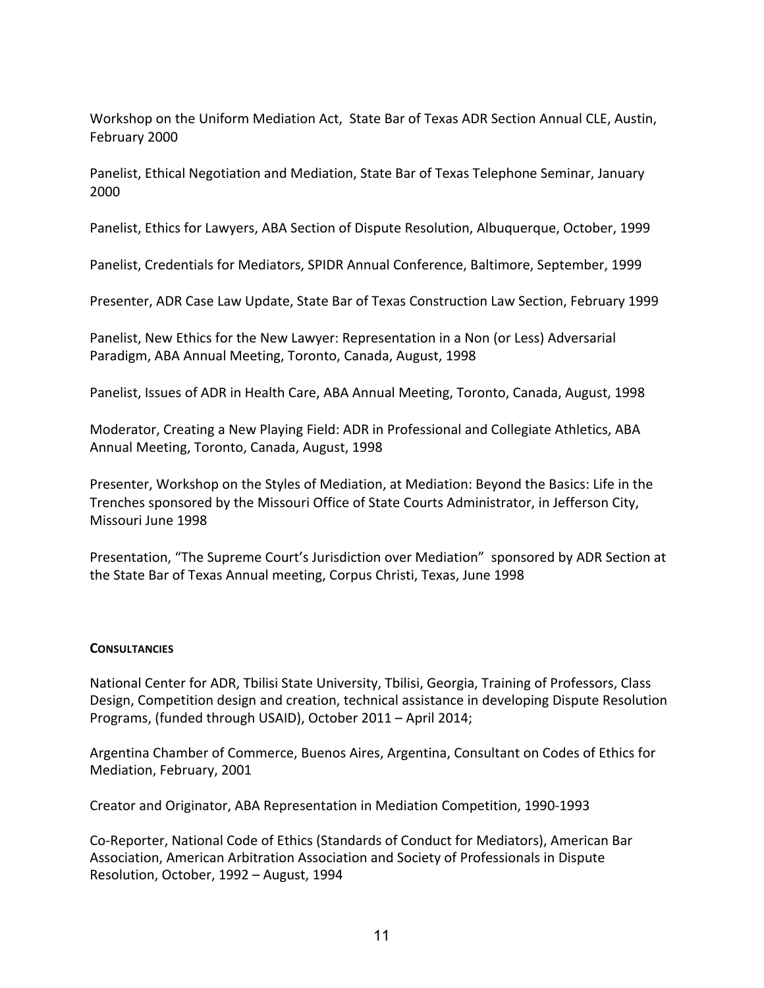Workshop on the Uniform Mediation Act, State Bar of Texas ADR Section Annual CLE, Austin, February 2000

Panelist, Ethical Negotiation and Mediation, State Bar of Texas Telephone Seminar, January 2000

Panelist, Ethics for Lawyers, ABA Section of Dispute Resolution, Albuquerque, October, 1999

Panelist, Credentials for Mediators, SPIDR Annual Conference, Baltimore, September, 1999

Presenter, ADR Case Law Update, State Bar of Texas Construction Law Section, February 1999

Panelist, New Ethics for the New Lawyer: Representation in a Non (or Less) Adversarial Paradigm, ABA Annual Meeting, Toronto, Canada, August, 1998

Panelist, Issues of ADR in Health Care, ABA Annual Meeting, Toronto, Canada, August, 1998

Moderator, Creating a New Playing Field: ADR in Professional and Collegiate Athletics, ABA Annual Meeting, Toronto, Canada, August, 1998

Presenter, Workshop on the Styles of Mediation, at Mediation: Beyond the Basics: Life in the Trenches sponsored by the Missouri Office of State Courts Administrator, in Jefferson City, Missouri June 1998

Presentation, "The Supreme Court's Jurisdiction over Mediation" sponsored by ADR Section at the State Bar of Texas Annual meeting, Corpus Christi, Texas, June 1998

# **CONSULTANCIES**

National Center for ADR, Tbilisi State University, Tbilisi, Georgia, Training of Professors, Class Design, Competition design and creation, technical assistance in developing Dispute Resolution Programs, (funded through USAID), October 2011 - April 2014;

Argentina Chamber of Commerce, Buenos Aires, Argentina, Consultant on Codes of Ethics for Mediation, February, 2001

Creator and Originator, ABA Representation in Mediation Competition, 1990-1993

Co-Reporter, National Code of Ethics (Standards of Conduct for Mediators), American Bar Association, American Arbitration Association and Society of Professionals in Dispute Resolution, October, 1992 - August, 1994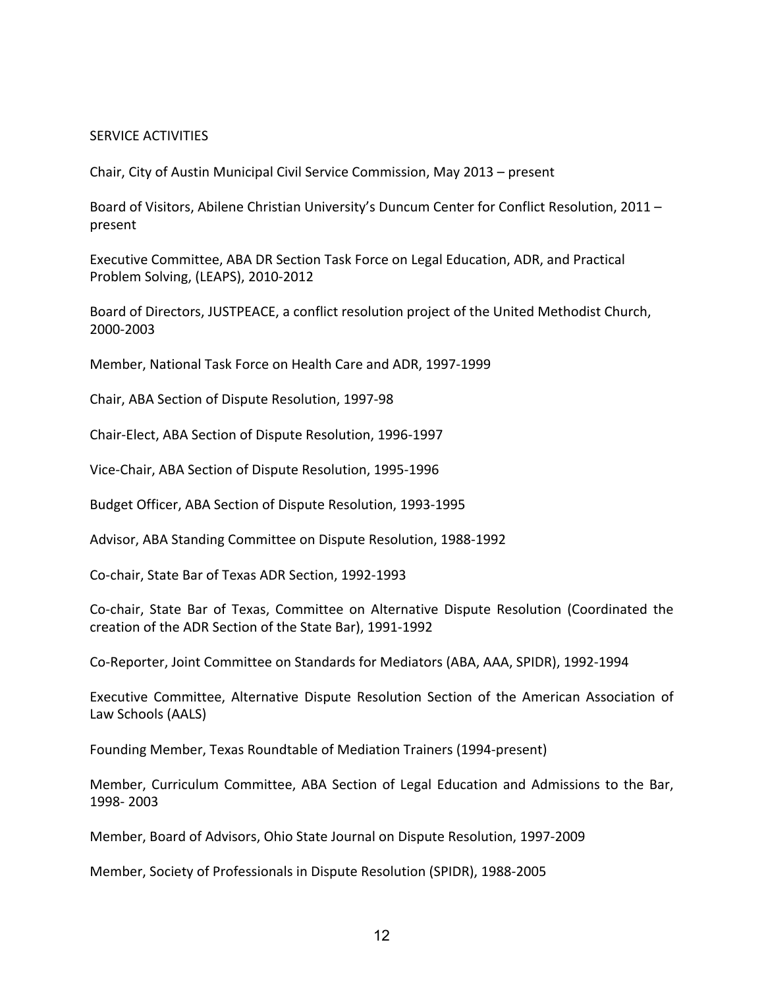#### SERVICE ACTIVITIES

Chair, City of Austin Municipal Civil Service Commission, May 2013 – present

Board of Visitors, Abilene Christian University's Duncum Center for Conflict Resolution, 2011 – present

Executive Committee, ABA DR Section Task Force on Legal Education, ADR, and Practical Problem Solving, (LEAPS), 2010-2012

Board of Directors, JUSTPEACE, a conflict resolution project of the United Methodist Church, 2000-2003

Member, National Task Force on Health Care and ADR, 1997-1999

Chair, ABA Section of Dispute Resolution, 1997-98

Chair-Elect, ABA Section of Dispute Resolution, 1996-1997

Vice-Chair, ABA Section of Dispute Resolution, 1995-1996

Budget Officer, ABA Section of Dispute Resolution, 1993-1995

Advisor, ABA Standing Committee on Dispute Resolution, 1988-1992

Co-chair, State Bar of Texas ADR Section, 1992-1993

Co-chair, State Bar of Texas, Committee on Alternative Dispute Resolution (Coordinated the creation of the ADR Section of the State Bar), 1991-1992

Co-Reporter, Joint Committee on Standards for Mediators (ABA, AAA, SPIDR), 1992-1994

Executive Committee, Alternative Dispute Resolution Section of the American Association of Law Schools (AALS)

Founding Member, Texas Roundtable of Mediation Trainers (1994-present)

Member, Curriculum Committee, ABA Section of Legal Education and Admissions to the Bar, 1998- 2003

Member, Board of Advisors, Ohio State Journal on Dispute Resolution, 1997-2009

Member, Society of Professionals in Dispute Resolution (SPIDR), 1988-2005